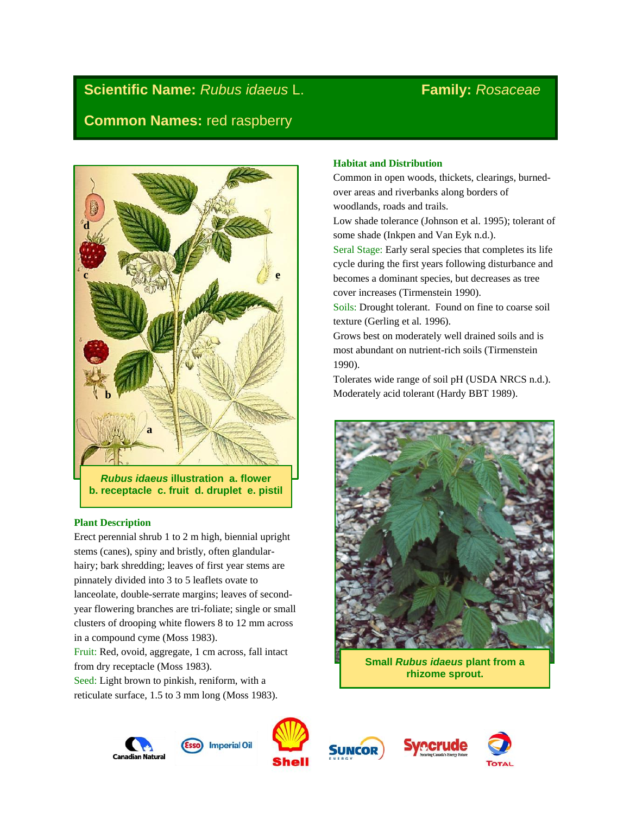# **Scientific Name:** *Rubus idaeus* L. **Family:** *Rosaceae* **Common Names:** red raspberry



# **Plant Description**

Erect perennial shrub 1 to 2 m high, biennial upright stems (canes), spiny and bristly, often glandularhairy; bark shredding; leaves of first year stems are pinnately divided into 3 to 5 leaflets ovate to lanceolate, double-serrate margins; leaves of secondyear flowering branches are tri-foliate; single or small clusters of drooping white flowers 8 to 12 mm across in a compound cyme (Moss 1983).

Fruit: Red, ovoid, aggregate, 1 cm across, fall intact from dry receptacle (Moss 1983).

Seed: Light brown to pinkish, reniform, with a reticulate surface, 1.5 to 3 mm long (Moss 1983).

# **Habitat and Distribution**

Common in open woods, thickets, clearings, burnedover areas and riverbanks along borders of woodlands, roads and trails.

Low shade tolerance (Johnson et al. 1995); tolerant of some shade (Inkpen and Van Eyk n.d.).

Seral Stage: Early seral species that completes its life cycle during the first years following disturbance and becomes a dominant species, but decreases as tree cover increases (Tirmenstein 1990).

Soils: Drought tolerant. Found on fine to coarse soil texture (Gerling et al*.* 1996).

Grows best on moderately well drained soils and is most abundant on nutrient-rich soils (Tirmenstein 1990).

Tolerates wide range of soil pH (USDA NRCS n.d.). Moderately acid tolerant (Hardy BBT 1989).



**Small** *Rubus idaeus* **plant from a rhizome sprout.**







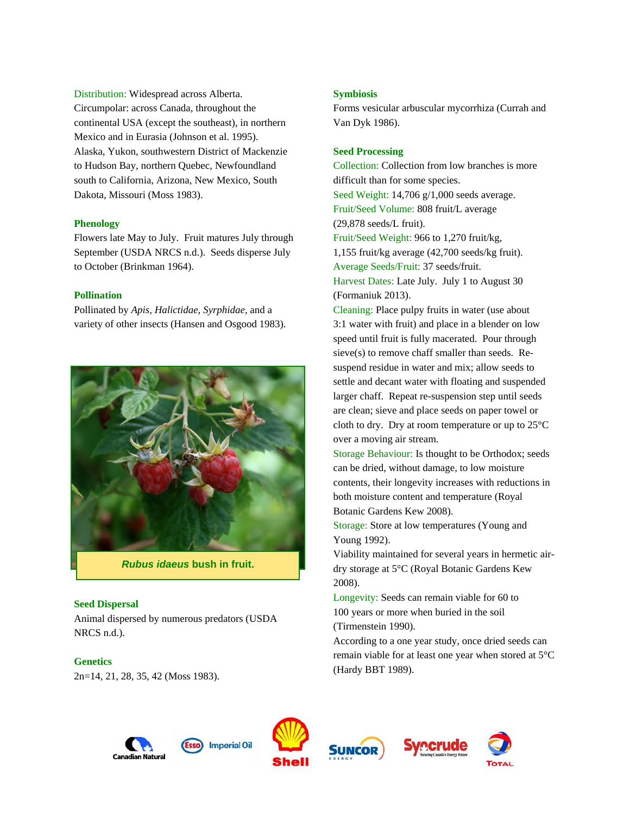Distribution: Widespread across Alberta. Circumpolar: across Canada, throughout the continental USA (except the southeast), in northern Mexico and in Eurasia (Johnson et al. 1995). Alaska, Yukon, southwestern District of Mackenzie to Hudson Bay, northern Quebec, Newfoundland south to California, Arizona, New Mexico, South Dakota, Missouri (Moss 1983).

## **Phenology**

Flowers late May to July. Fruit matures July through September (USDA NRCS n.d.). Seeds disperse July to October (Brinkman 1964).

## **Pollination**

Pollinated by *Apis, Halictidae, Syrphidae*, and a variety of other insects (Hansen and Osgood 1983).



*Rubus idaeus* **bush in fruit.**

# **Seed Dispersal**

Animal dispersed by numerous predators (USDA NRCS n.d.).

# **Genetics**

2n=14, 21, 28, 35, 42 (Moss 1983).

#### **Symbiosis**

Forms vesicular arbuscular mycorrhiza (Currah and Van Dyk 1986).

#### **Seed Processing**

Collection: Collection from low branches is more difficult than for some species. Seed Weight: 14,706 g/1,000 seeds average. Fruit/Seed Volume: 808 fruit/L average (29,878 seeds/L fruit). Fruit/Seed Weight: 966 to 1,270 fruit/kg, 1,155 fruit/kg average (42,700 seeds/kg fruit). Average Seeds/Fruit: 37 seeds/fruit. Harvest Dates: Late July. July 1 to August 30 (Formaniuk 2013). Cleaning: Place pulpy fruits in water (use about

3:1 water with fruit) and place in a blender on low speed until fruit is fully macerated. Pour through sieve(s) to remove chaff smaller than seeds. Resuspend residue in water and mix; allow seeds to settle and decant water with floating and suspended larger chaff. Repeat re-suspension step until seeds are clean; sieve and place seeds on paper towel or cloth to dry. Dry at room temperature or up to 25°C over a moving air stream.

Storage Behaviour: Is thought to be Orthodox; seeds can be dried, without damage, to low moisture contents, their longevity increases with reductions in both moisture content and temperature (Royal Botanic Gardens Kew 2008).

Storage: Store at low temperatures (Young and Young 1992).

Viability maintained for several years in hermetic airdry storage at 5°C (Royal Botanic Gardens Kew 2008).

Longevity: Seeds can remain viable for 60 to 100 years or more when buried in the soil (Tirmenstein 1990).

According to a one year study, once dried seeds can remain viable for at least one year when stored at 5°C (Hardy BBT 1989).







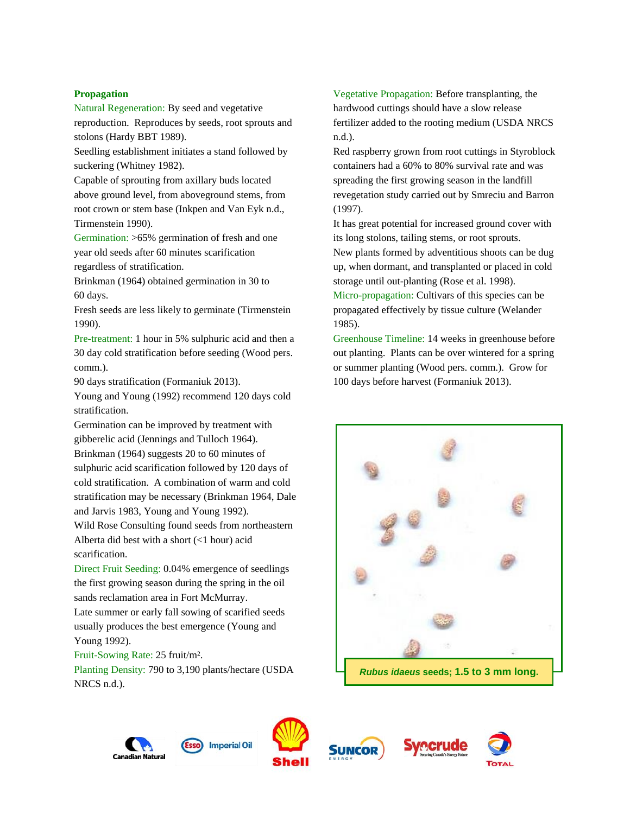# **Propagation**

Natural Regeneration: By seed and vegetative reproduction. Reproduces by seeds, root sprouts and stolons (Hardy BBT 1989).

Seedling establishment initiates a stand followed by suckering (Whitney 1982).

Capable of sprouting from axillary buds located above ground level, from aboveground stems, from root crown or stem base (Inkpen and Van Eyk n.d., Tirmenstein 1990).

Germination: >65% germination of fresh and one year old seeds after 60 minutes scarification regardless of stratification.

Brinkman (1964) obtained germination in 30 to 60 days.

Fresh seeds are less likely to germinate (Tirmenstein 1990).

Pre-treatment: 1 hour in 5% sulphuric acid and then a 30 day cold stratification before seeding (Wood pers. comm.).

90 days stratification (Formaniuk 2013).

Young and Young (1992) recommend 120 days cold stratification.

Germination can be improved by treatment with gibberelic acid (Jennings and Tulloch 1964).

Brinkman (1964) suggests 20 to 60 minutes of sulphuric acid scarification followed by 120 days of cold stratification. A combination of warm and cold stratification may be necessary (Brinkman 1964, Dale and Jarvis 1983, Young and Young 1992).

Wild Rose Consulting found seeds from northeastern Alberta did best with a short (<1 hour) acid scarification.

Direct Fruit Seeding: 0.04% emergence of seedlings the first growing season during the spring in the oil sands reclamation area in Fort McMurray.

Late summer or early fall sowing of scarified seeds usually produces the best emergence (Young and Young 1992).

Fruit-Sowing Rate: 25 fruit/m².

Planting Density: 790 to 3,190 plants/hectare (USDA NRCS n.d.).

Vegetative Propagation: Before transplanting, the hardwood cuttings should have a slow release fertilizer added to the rooting medium (USDA NRCS n.d.).

Red raspberry grown from root cuttings in Styroblock containers had a 60% to 80% survival rate and was spreading the first growing season in the landfill revegetation study carried out by Smreciu and Barron (1997).

It has great potential for increased ground cover with its long stolons, tailing stems, or root sprouts. New plants formed by adventitious shoots can be dug up, when dormant, and transplanted or placed in cold storage until out-planting (Rose et al. 1998).

Micro-propagation: Cultivars of this species can be propagated effectively by tissue culture (Welander 1985).

Greenhouse Timeline: 14 weeks in greenhouse before out planting. Plants can be over wintered for a spring or summer planting (Wood pers. comm.). Grow for 100 days before harvest (Formaniuk 2013).









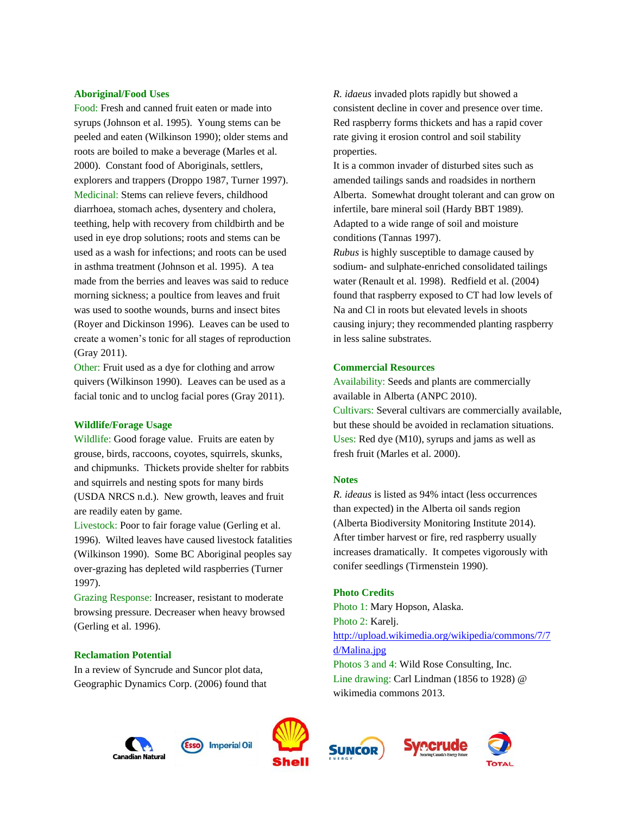#### **Aboriginal/Food Uses**

Food: Fresh and canned fruit eaten or made into syrups (Johnson et al. 1995). Young stems can be peeled and eaten (Wilkinson 1990); older stems and roots are boiled to make a beverage (Marles et al*.*  2000). Constant food of Aboriginals, settlers, explorers and trappers (Droppo 1987, Turner 1997). Medicinal: Stems can relieve fevers, childhood diarrhoea, stomach aches, dysentery and cholera, teething, help with recovery from childbirth and be used in eye drop solutions; roots and stems can be used as a wash for infections; and roots can be used in asthma treatment (Johnson et al. 1995). A tea made from the berries and leaves was said to reduce morning sickness; a poultice from leaves and fruit was used to soothe wounds, burns and insect bites (Royer and Dickinson 1996). Leaves can be used to create a women's tonic for all stages of reproduction (Gray 2011).

Other: Fruit used as a dye for clothing and arrow quivers (Wilkinson 1990). Leaves can be used as a facial tonic and to unclog facial pores (Gray 2011).

#### **Wildlife/Forage Usage**

Wildlife: Good forage value. Fruits are eaten by grouse, birds, raccoons, coyotes, squirrels, skunks, and chipmunks. Thickets provide shelter for rabbits and squirrels and nesting spots for many birds (USDA NRCS n.d.). New growth, leaves and fruit are readily eaten by game.

Livestock: Poor to fair forage value (Gerling et al. 1996). Wilted leaves have caused livestock fatalities (Wilkinson 1990). Some BC Aboriginal peoples say over-grazing has depleted wild raspberries (Turner 1997).

Grazing Response: Increaser, resistant to moderate browsing pressure. Decreaser when heavy browsed (Gerling et al. 1996).

# **Reclamation Potential**

In a review of Syncrude and Suncor plot data, Geographic Dynamics Corp. (2006) found that *R. idaeus* invaded plots rapidly but showed a consistent decline in cover and presence over time. Red raspberry forms thickets and has a rapid cover rate giving it erosion control and soil stability properties.

It is a common invader of disturbed sites such as amended tailings sands and roadsides in northern Alberta. Somewhat drought tolerant and can grow on infertile, bare mineral soil (Hardy BBT 1989). Adapted to a wide range of soil and moisture conditions (Tannas 1997).

*Rubus* is highly susceptible to damage caused by sodium- and sulphate-enriched consolidated tailings water (Renault et al. 1998). Redfield et al. (2004) found that raspberry exposed to CT had low levels of Na and Cl in roots but elevated levels in shoots causing injury; they recommended planting raspberry in less saline substrates.

# **Commercial Resources**

Availability: Seeds and plants are commercially available in Alberta (ANPC 2010).

Cultivars: Several cultivars are commercially available, but these should be avoided in reclamation situations. Uses: Red dye (M10), syrups and jams as well as fresh fruit (Marles et al. 2000).

#### **Notes**

*R. ideaus* is listed as 94% intact (less occurrences than expected) in the Alberta oil sands region (Alberta Biodiversity Monitoring Institute 2014). After timber harvest or fire, red raspberry usually increases dramatically. It competes vigorously with conifer seedlings (Tirmenstein 1990).

#### **Photo Credits**

Photo 1: Mary Hopson, Alaska. Photo 2: Karelj. [http://upload.wikimedia.org/wikipedia/commons/7/7](http://upload.wikimedia.org/wikipedia/commons/7/7d/Malina.jpg) [d/Malina.jpg](http://upload.wikimedia.org/wikipedia/commons/7/7d/Malina.jpg) Photos 3 and 4: Wild Rose Consulting, Inc. Line drawing: Carl Lindman (1856 to 1928) @ wikimedia commons 2013.

*r*ecrude







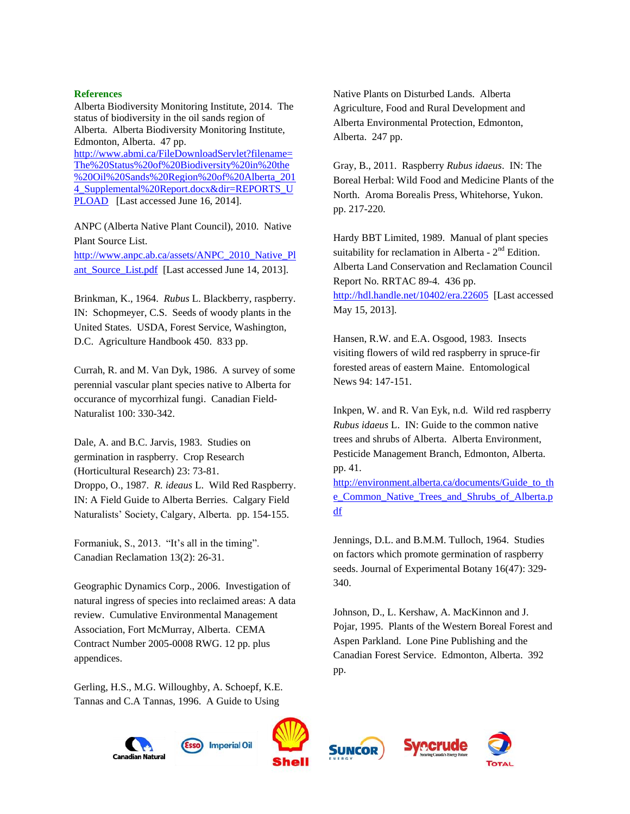# **References**

Alberta Biodiversity Monitoring Institute, 2014. The status of biodiversity in the oil sands region of Alberta. Alberta Biodiversity Monitoring Institute, Edmonton, Alberta. 47 pp.

[http://www.abmi.ca/FileDownloadServlet?filename=](http://www.abmi.ca/FileDownloadServlet?filename=The%20Status%20of%20Biodiversity%20in%20the%20Oil%20Sands%20Region%20of%20Alberta_2014_Supplemental%20Report.docx&dir=REPORTS_UPLOAD) [The%20Status%20of%20Biodiversity%20in%20the](http://www.abmi.ca/FileDownloadServlet?filename=The%20Status%20of%20Biodiversity%20in%20the%20Oil%20Sands%20Region%20of%20Alberta_2014_Supplemental%20Report.docx&dir=REPORTS_UPLOAD) [%20Oil%20Sands%20Region%20of%20Alberta\\_201](http://www.abmi.ca/FileDownloadServlet?filename=The%20Status%20of%20Biodiversity%20in%20the%20Oil%20Sands%20Region%20of%20Alberta_2014_Supplemental%20Report.docx&dir=REPORTS_UPLOAD) 4 Supplemental%20Report.docx&dir=REPORTS\_U [PLOAD](http://www.abmi.ca/FileDownloadServlet?filename=The%20Status%20of%20Biodiversity%20in%20the%20Oil%20Sands%20Region%20of%20Alberta_2014_Supplemental%20Report.docx&dir=REPORTS_UPLOAD) [Last accessed June 16, 2014].

ANPC (Alberta Native Plant Council), 2010. Native Plant Source List. [http://www.anpc.ab.ca/assets/ANPC\\_2010\\_Native\\_Pl](http://www.anpc.ab.ca/assets/ANPC_2010_Native_Plant_Source_List.pdf)

ant Source List.pdf [Last accessed June 14, 2013].

Brinkman, K., 1964. *Rubus* L. Blackberry, raspberry. IN: Schopmeyer, C.S. Seeds of woody plants in the United States. USDA, Forest Service, Washington, D.C. Agriculture Handbook 450. 833 pp.

Currah, R. and M. Van Dyk, 1986. A survey of some perennial vascular plant species native to Alberta for occurance of mycorrhizal fungi. Canadian Field-Naturalist 100: 330-342.

Dale, A. and B.C. Jarvis, 1983. Studies on germination in raspberry. Crop Research (Horticultural Research) 23: 73-81. Droppo, O., 1987. *R. ideaus* L. Wild Red Raspberry. IN: A Field Guide to Alberta Berries. Calgary Field Naturalists' Society, Calgary, Alberta. pp. 154-155.

Formaniuk, S., 2013. "It's all in the timing". Canadian Reclamation 13(2): 26-31.

Geographic Dynamics Corp., 2006. Investigation of natural ingress of species into reclaimed areas: A data review. Cumulative Environmental Management Association, Fort McMurray, Alberta. CEMA Contract Number 2005-0008 RWG. 12 pp. plus appendices.

Gerling, H.S., M.G. Willoughby, A. Schoepf, K.E. Tannas and C.A Tannas, 1996. A Guide to Using

Native Plants on Disturbed Lands. Alberta Agriculture, Food and Rural Development and Alberta Environmental Protection, Edmonton, Alberta. 247 pp.

Gray, B., 2011. Raspberry *Rubus idaeus*. IN: The Boreal Herbal: Wild Food and Medicine Plants of the North. Aroma Borealis Press, Whitehorse, Yukon. pp. 217-220.

Hardy BBT Limited, 1989. Manual of plant species suitability for reclamation in Alberta -  $2<sup>nd</sup>$  Edition. Alberta Land Conservation and Reclamation Council Report No. RRTAC 89-4. 436 pp. <http://hdl.handle.net/10402/era.22605> [Last accessed May 15, 2013].

Hansen, R.W. and E.A. Osgood, 1983. Insects visiting flowers of wild red raspberry in spruce-fir forested areas of eastern Maine. Entomological News 94: 147-151.

Inkpen, W. and R. Van Eyk, n.d. Wild red raspberry *Rubus idaeus* L. IN: Guide to the common native trees and shrubs of Alberta. Alberta Environment, Pesticide Management Branch, Edmonton, Alberta. pp. 41.

[http://environment.alberta.ca/documents/Guide\\_to\\_th](http://environment.alberta.ca/documents/Guide_to_the_Common_Native_Trees_and_Shrubs_of_Alberta.pdf) e Common Native Trees and Shrubs of Alberta.p [df](http://environment.alberta.ca/documents/Guide_to_the_Common_Native_Trees_and_Shrubs_of_Alberta.pdf)

Jennings, D.L. and B.M.M. Tulloch, 1964. Studies on factors which promote germination of raspberry seeds. Journal of Experimental Botany 16(47): 329- 340.

Johnson, D., L. Kershaw, A. MacKinnon and J. Pojar, 1995. Plants of the Western Boreal Forest and Aspen Parkland. Lone Pine Publishing and the Canadian Forest Service. Edmonton, Alberta. 392 pp.







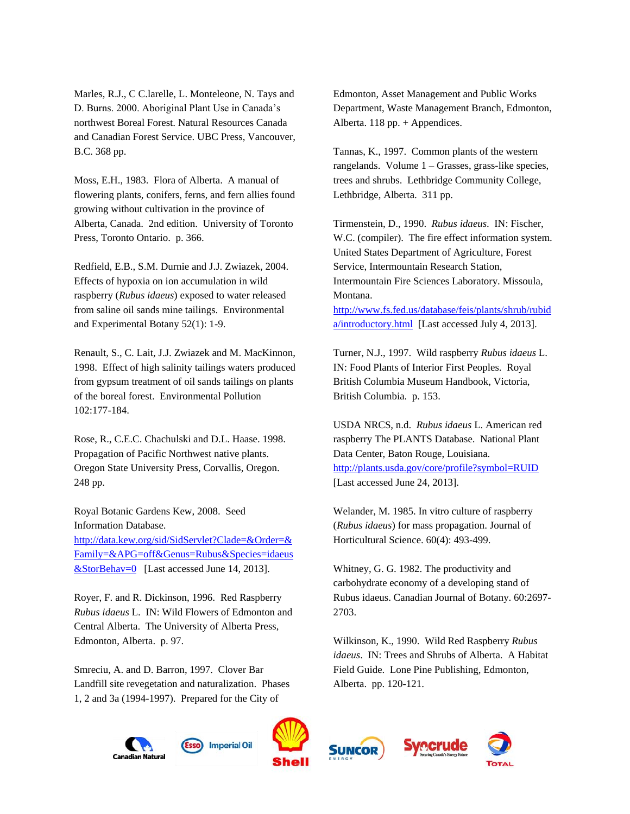Marles, R.J., C C.larelle, L. Monteleone, N. Tays and D. Burns. 2000. Aboriginal Plant Use in Canada's northwest Boreal Forest. Natural Resources Canada and Canadian Forest Service. UBC Press, Vancouver, B.C. 368 pp.

Moss, E.H., 1983. Flora of Alberta. A manual of flowering plants, conifers, ferns, and fern allies found growing without cultivation in the province of Alberta, Canada. 2nd edition. University of Toronto Press, Toronto Ontario. p. 366.

Redfield, E.B., S.M. Durnie and J.J. Zwiazek, 2004. Effects of hypoxia on ion accumulation in wild raspberry (*Rubus idaeus*) exposed to water released from saline oil sands mine tailings. Environmental and Experimental Botany 52(1): 1-9.

Renault, S., C. Lait, J.J. Zwiazek and M. MacKinnon, 1998. Effect of high salinity tailings waters produced from gypsum treatment of oil sands tailings on plants of the boreal forest. Environmental Pollution 102:177-184.

Rose, R., C.E.C. Chachulski and D.L. Haase. 1998. Propagation of Pacific Northwest native plants. Oregon State University Press, Corvallis, Oregon. 248 pp.

Royal Botanic Gardens Kew, 2008. Seed Information Database.

[http://data.kew.org/sid/SidServlet?Clade=&Order=&](http://data.kew.org/sid/SidServlet?Clade=&Order=&Family=&APG=off&Genus=Rubus&Species=idaeus&StorBehav=0) [Family=&APG=off&Genus=Rubus&Species=idaeus](http://data.kew.org/sid/SidServlet?Clade=&Order=&Family=&APG=off&Genus=Rubus&Species=idaeus&StorBehav=0) [&StorBehav=0](http://data.kew.org/sid/SidServlet?Clade=&Order=&Family=&APG=off&Genus=Rubus&Species=idaeus&StorBehav=0) [Last accessed June 14, 2013].

Royer, F. and R. Dickinson, 1996. Red Raspberry *Rubus idaeus* L. IN: Wild Flowers of Edmonton and Central Alberta. The University of Alberta Press, Edmonton, Alberta. p. 97.

Smreciu, A. and D. Barron, 1997. Clover Bar Landfill site revegetation and naturalization. Phases 1, 2 and 3a (1994-1997). Prepared for the City of

Edmonton, Asset Management and Public Works Department, Waste Management Branch, Edmonton, Alberta. 118 pp. + Appendices.

Tannas, K., 1997. Common plants of the western rangelands. Volume 1 – Grasses, grass-like species, trees and shrubs. Lethbridge Community College, Lethbridge, Alberta. 311 pp.

Tirmenstein, D., 1990. *Rubus idaeus*. IN: Fischer, W.C. (compiler). The fire effect information system. United States Department of Agriculture, Forest Service, Intermountain Research Station, Intermountain Fire Sciences Laboratory. Missoula, Montana.

[http://www.fs.fed.us/database/feis/plants/shrub/rubid](http://www.fs.fed.us/database/feis/plants/shrub/rubida/introductory.html) [a/introductory.html](http://www.fs.fed.us/database/feis/plants/shrub/rubida/introductory.html) [Last accessed July 4, 2013].

Turner, N.J., 1997. Wild raspberry *Rubus idaeus* L. IN: Food Plants of Interior First Peoples. Royal British Columbia Museum Handbook, Victoria, British Columbia. p. 153.

USDA NRCS, n.d. *Rubus idaeus* L. American red raspberry The PLANTS Database. National Plant Data Center, Baton Rouge, Louisiana. <http://plants.usda.gov/core/profile?symbol=RUID> [Last accessed June 24, 2013].

Welander, M. 1985. In vitro culture of raspberry (*Rubus idaeus*) for mass propagation. Journal of Horticultural Science. 60(4): 493-499.

Whitney, G. G. 1982. The productivity and carbohydrate economy of a developing stand of Rubus idaeus. Canadian Journal of Botany. 60:2697- 2703.

Wilkinson, K., 1990. Wild Red Raspberry *Rubus idaeus*. IN: Trees and Shrubs of Alberta. A Habitat Field Guide. Lone Pine Publishing, Edmonton, Alberta. pp. 120-121.

recrude